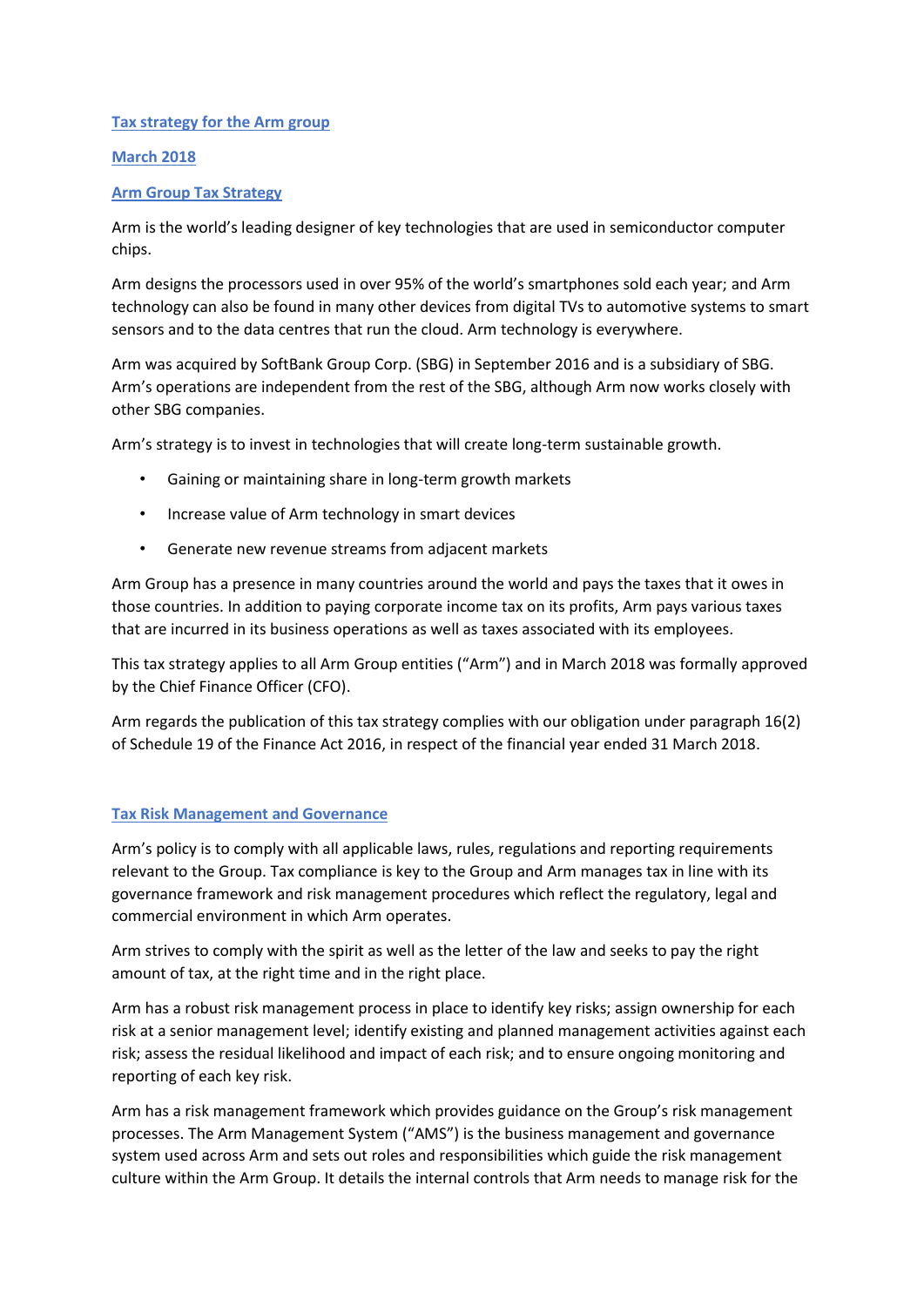# **Tax strategy for the Arm group**

# **March 2018**

# **Arm Group Tax Strategy**

Arm is the world's leading designer of key technologies that are used in semiconductor computer chips.

Arm designs the processors used in over 95% of the world's smartphones sold each year; and Arm technology can also be found in many other devices from digital TVs to automotive systems to smart sensors and to the data centres that run the cloud. Arm technology is everywhere.

Arm was acquired by SoftBank Group Corp. (SBG) in September 2016 and is a subsidiary of SBG. Arm's operations are independent from the rest of the SBG, although Arm now works closely with other SBG companies.

Arm's strategy is to invest in technologies that will create long-term sustainable growth.

- Gaining or maintaining share in long-term growth markets
- Increase value of Arm technology in smart devices
- Generate new revenue streams from adjacent markets

Arm Group has a presence in many countries around the world and pays the taxes that it owes in those countries. In addition to paying corporate income tax on its profits, Arm pays various taxes that are incurred in its business operations as well as taxes associated with its employees.

This tax strategy applies to all Arm Group entities ("Arm") and in March 2018 was formally approved by the Chief Finance Officer (CFO).

Arm regards the publication of this tax strategy complies with our obligation under paragraph 16(2) of Schedule 19 of the Finance Act 2016, in respect of the financial year ended 31 March 2018.

#### **Tax Risk Management and Governance**

Arm's policy is to comply with all applicable laws, rules, regulations and reporting requirements relevant to the Group. Tax compliance is key to the Group and Arm manages tax in line with its governance framework and risk management procedures which reflect the regulatory, legal and commercial environment in which Arm operates.

Arm strives to comply with the spirit as well as the letter of the law and seeks to pay the right amount of tax, at the right time and in the right place.

Arm has a robust risk management process in place to identify key risks; assign ownership for each risk at a senior management level; identify existing and planned management activities against each risk; assess the residual likelihood and impact of each risk; and to ensure ongoing monitoring and reporting of each key risk.

Arm has a risk management framework which provides guidance on the Group's risk management processes. The Arm Management System ("AMS") is the business management and governance system used across Arm and sets out roles and responsibilities which guide the risk management culture within the Arm Group. It details the internal controls that Arm needs to manage risk for the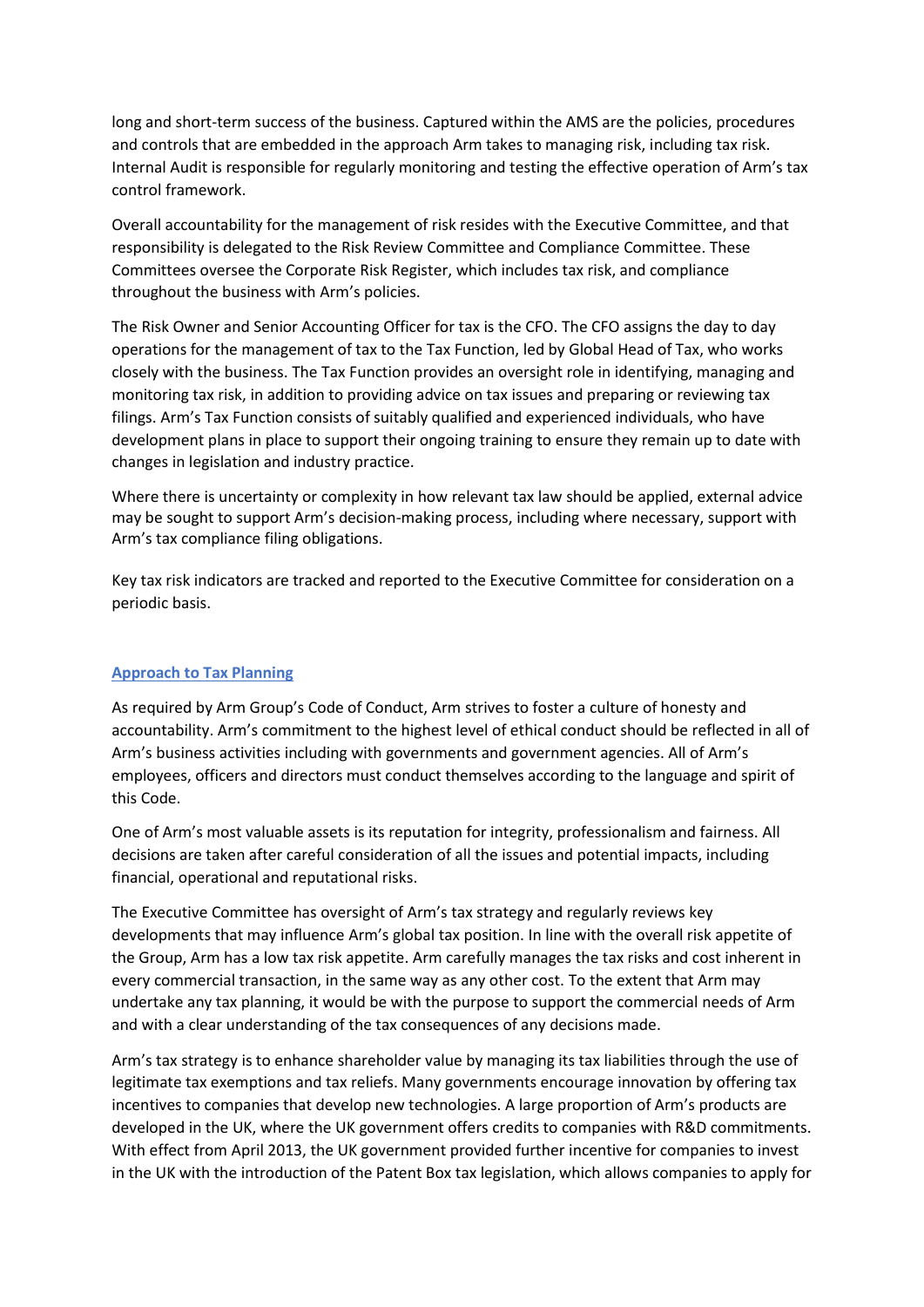long and short-term success of the business. Captured within the AMS are the policies, procedures and controls that are embedded in the approach Arm takes to managing risk, including tax risk. Internal Audit is responsible for regularly monitoring and testing the effective operation of Arm's tax control framework.

Overall accountability for the management of risk resides with the Executive Committee, and that responsibility is delegated to the Risk Review Committee and Compliance Committee. These Committees oversee the Corporate Risk Register, which includes tax risk, and compliance throughout the business with Arm's policies.

The Risk Owner and Senior Accounting Officer for tax is the CFO. The CFO assigns the day to day operations for the management of tax to the Tax Function, led by Global Head of Tax, who works closely with the business. The Tax Function provides an oversight role in identifying, managing and monitoring tax risk, in addition to providing advice on tax issues and preparing or reviewing tax filings. Arm's Tax Function consists of suitably qualified and experienced individuals, who have development plans in place to support their ongoing training to ensure they remain up to date with changes in legislation and industry practice.

Where there is uncertainty or complexity in how relevant tax law should be applied, external advice may be sought to support Arm's decision-making process, including where necessary, support with Arm's tax compliance filing obligations.

Key tax risk indicators are tracked and reported to the Executive Committee for consideration on a periodic basis.

#### **Approach to Tax Planning**

As required by Arm Group's Code of Conduct, Arm strives to foster a culture of honesty and accountability. Arm's commitment to the highest level of ethical conduct should be reflected in all of Arm's business activities including with governments and government agencies. All of Arm's employees, officers and directors must conduct themselves according to the language and spirit of this Code.

One of Arm's most valuable assets is its reputation for integrity, professionalism and fairness. All decisions are taken after careful consideration of all the issues and potential impacts, including financial, operational and reputational risks.

The Executive Committee has oversight of Arm's tax strategy and regularly reviews key developments that may influence Arm's global tax position. In line with the overall risk appetite of the Group, Arm has a low tax risk appetite. Arm carefully manages the tax risks and cost inherent in every commercial transaction, in the same way as any other cost. To the extent that Arm may undertake any tax planning, it would be with the purpose to support the commercial needs of Arm and with a clear understanding of the tax consequences of any decisions made.

Arm's tax strategy is to enhance shareholder value by managing its tax liabilities through the use of legitimate tax exemptions and tax reliefs. Many governments encourage innovation by offering tax incentives to companies that develop new technologies. A large proportion of Arm's products are developed in the UK, where the UK government offers credits to companies with R&D commitments. With effect from April 2013, the UK government provided further incentive for companies to invest in the UK with the introduction of the Patent Box tax legislation, which allows companies to apply for